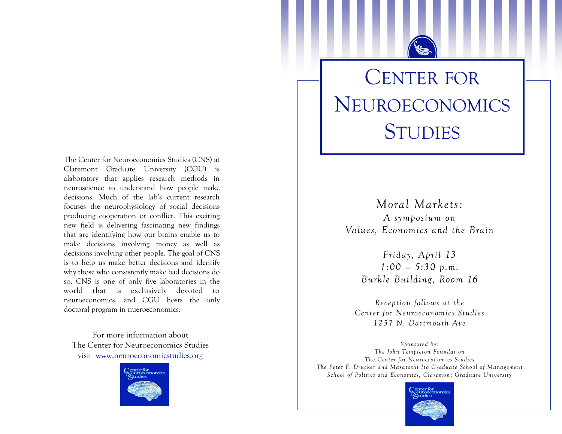The Center for Neuroeconomics Studies (CNS) at Claremont Graduate University (CGU) is alaboratory that applies research methods in neuroscience to understand how people make decisions. Much of the lab's current research focuses the neurophysiology of social decisions producing cooperation or conflict. This exciting new field is delivering fascinating new findings that are identifying how our brains enable us to make decisions involving money as well as decisions involving other people. The goal of CNS is to help us make better decisions and identify why those who consistently make bad decisions do so. CNS is one of only five laboratories in the world that is exclusively devoted to neuroeconomics, and CGU hosts the only doctoral program in nueroeconomics.

For more information about The Center for Neuroeconomics Studies visit www.neuroeconomicstudies.org



## **CENTER FOR** NEUROECONOMICS **STUDIES**

Moral Markets: A symposium on Values, Economics and the Brain

> Friday, April 13  $1:00 - 5:30 \text{ p.m.}$ Burkle Building, Room 16

Reception follows at the Center for Neuroeconomics Studies 1257 N. Dartmouth Ave

Sponsored by: The John Templeton Foundation The Center for Neuroeconomics Studies The Peter F. Drucker and Masatoshi Ito Graduate School of Management School of Politics and Economics, Claremont Graduate University